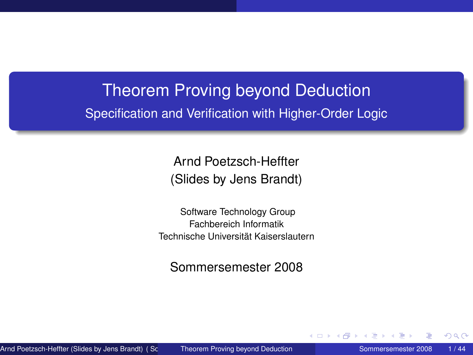# Theorem Proving beyond Deduction Specification and Verification with Higher-Order Logic

Arnd Poetzsch-Heffter (Slides by Jens Brandt)

Software Technology Group Fachbereich Informatik Technische Universität Kaiserslautern

<span id="page-0-0"></span>Sommersemester 2008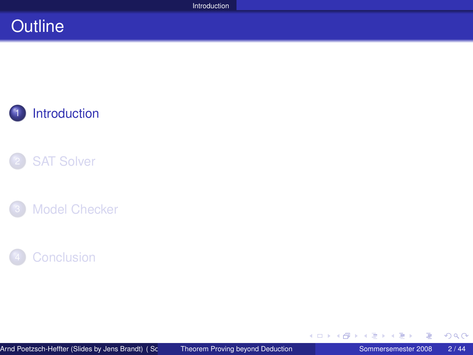### **Outline**



### **[SAT Solver](#page-8-0)**





≣

<span id="page-1-0"></span>つくへ

イロト (個) (注) (注)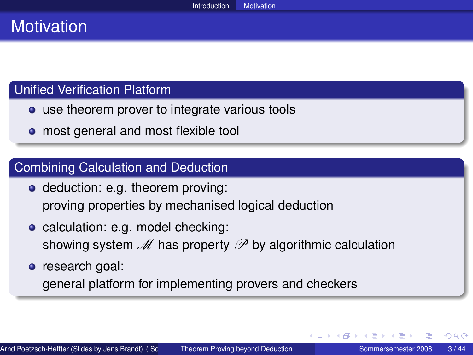# **Motivation**

### Unified Verification Platform

- use theorem prover to integrate various tools
- most general and most flexible tool

#### Combining Calculation and Deduction

- deduction: e.g. theorem proving: proving properties by mechanised logical deduction
- calculation: e.g. model checking: showing system  $\mathcal M$  has property  $\mathcal P$  by algorithmic calculation
- research goal:

general platform for implementing provers and checkers

∢ ロ ▶ ∢ 御 ▶ ∢ 重 ▶ ∢ 重 ▶ ↓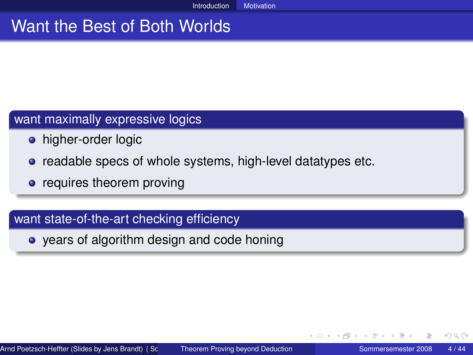### Want the Best of Both Worlds

#### want maximally expressive logics

- **•** higher-order logic
- **•** readable specs of whole systems, high-level datatypes etc.
- requires theorem proving

#### want state-of-the-art checking efficiency

years of algorithm design and code honing

4 0 8 4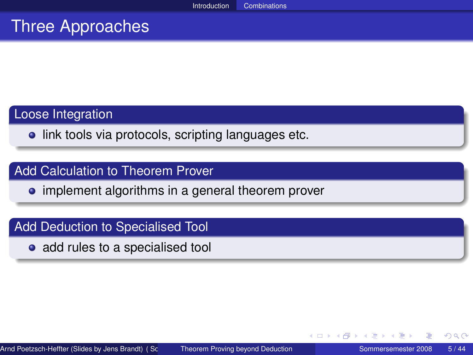## Three Approaches

#### Loose Integration

**.** link tools via protocols, scripting languages etc.

#### Add Calculation to Theorem Prover

• implement algorithms in a general theorem prover

#### Add Deduction to Specialised Tool

• add rules to a specialised tool

4 0 8 4

医尿道尿

 $290$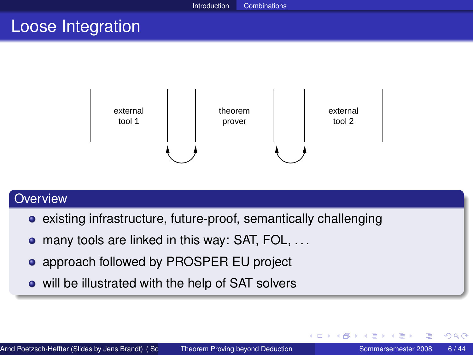### Loose Integration



#### **Overview**

- existing infrastructure, future-proof, semantically challenging
- many tools are linked in this way: SAT, FOL, ...  $\bullet$
- **approach followed by PROSPER EU project**
- will be illustrated with the help of SAT solvers

∢ ロ ▶ ∢ 御 ▶ ∢ 重 ▶ ∢ 重 ▶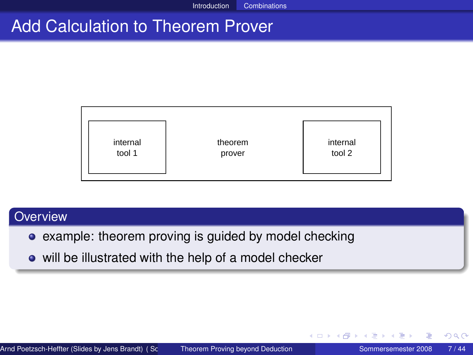# Add Calculation to Theorem Prover



#### **Overview**

- example: theorem proving is guided by model checking
- will be illustrated with the help of a model checker

∢ ロ ▶ ∢ 御 ▶ ∢ 重 ▶ ∢ 重 ▶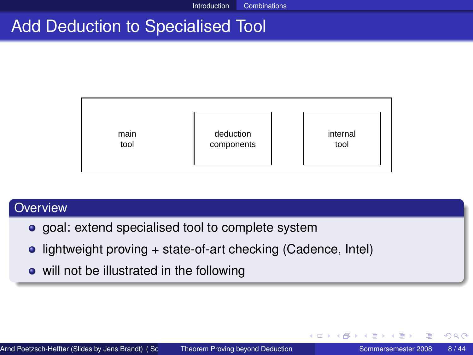# Add Deduction to Specialised Tool



#### **Overview**

- **o** goal: extend specialised tool to complete system
- lightweight proving + state-of-art checking (Cadence, Intel)
- will not be illustrated in the following

イロト イ母 トイヨ トイヨト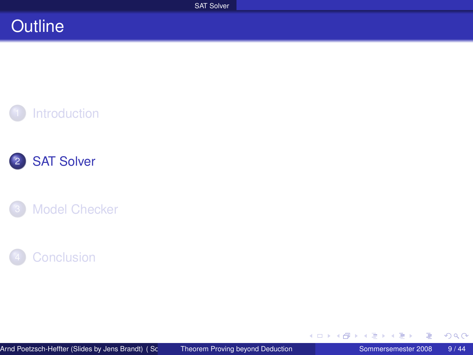### **Outline**









≣

<span id="page-8-0"></span>つくへ

一 ( 語 )

**K ロ ▶ K 伊 ▶ K ヨ ▶**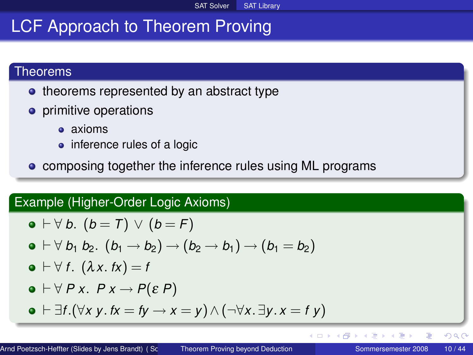# LCF Approach to Theorem Proving

#### Theorems

- theorems represented by an abstract type
- **•** primitive operations
	- **a** axioms
	- inference rules of a logic
- **composing together the inference rules using ML programs**

### Example (Higher-Order Logic Axioms)

$$
\bullet \vdash \forall b. (b = 7) \vee (b = F)
$$

$$
\bullet\vdash \forall\ b_1\ b_2.\ (b_1\rightarrow b_2)\rightarrow (b_2\rightarrow b_1)\rightarrow(b_1=b_2)
$$

$$
\bullet \vdash \forall \, f. \, (\lambda x. \, fx) = f
$$

$$
\bullet \vdash \forall P \ x. \ P \ x \rightarrow P(\varepsilon P)
$$

 $\bullet$   $\vdash \exists f.(\forall x \; y. \; fx = fy \rightarrow x = y) \land (\neg \forall x. \exists y. \; x = f \; y)$ 

E

 $QQ$ 

イロト (個) (注) (注)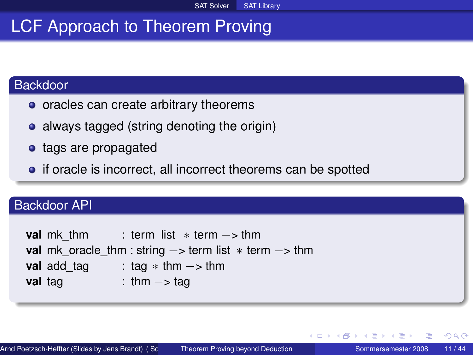# LCF Approach to Theorem Proving

### Backdoor

- oracles can create arbitrary theorems
- always tagged (string denoting the origin)
- tags are propagated
- if oracle is incorrect, all incorrect theorems can be spotted

#### Backdoor API

| val mk thm  | : term list $*$ term $->$ thm                                                        |
|-------------|--------------------------------------------------------------------------------------|
|             | <b>val</b> mk oracle thm : string $\rightarrow$ term list $*$ term $\rightarrow$ thm |
| val add tag | : tag $*$ thm $\rightarrow$ thm                                                      |
| val tag     | : thm $\rightarrow$ tag                                                              |

∢ ロ ▶ ∢ 御 ▶ ∢ 重 ▶ ∢ 重 ▶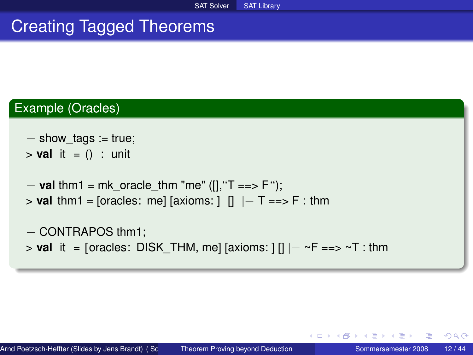# Creating Tagged Theorems

### Example (Oracles)

- $-$  show tags := true;
- $>$  **val** it = () : unit
- − **val** thm1 = mk\_oracle\_thm "me" ([],''T ==> F '');
- > **val** thm1 = [oracles: me] [axioms: ] [] |− T ==> F : thm

```
− CONTRAPOS thm1;
> val it = [oracles: DISK_THM, me] [axioms: ] [] |-\simF ==> \simT : thm
```
イロト イ母 トイラ トイラ トーラ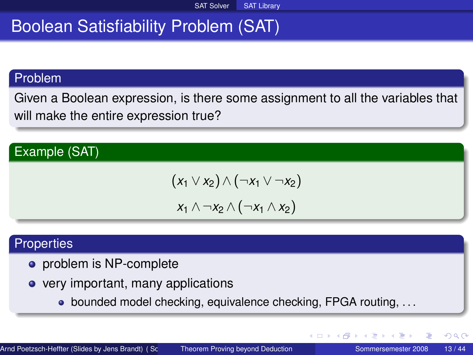# Boolean Satisfiability Problem (SAT)

#### Problem

Given a Boolean expression, is there some assignment to all the variables that will make the entire expression true?

### Example (SAT)

$$
(x_1 \vee x_2) \wedge (\neg x_1 \vee \neg x_2)
$$
  

$$
x_1 \wedge \neg x_2 \wedge (\neg x_1 \wedge x_2)
$$

#### **Properties**

- **•** problem is NP-complete
- very important, many applications
	- bounded model checking, equivalence checking, FPGA routing, ...

∢ ロ ▶ ∢ 御 ▶ ∢ 重 ▶ ∢ 重 ▶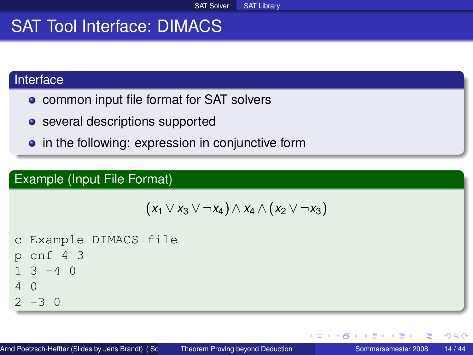# SAT Tool Interface: DIMACS

### Interface

- **•** common input file format for SAT solvers
- **•** several descriptions supported
- in the following: expression in conjunctive form

### Example (Input File Format)

$$
(x_1 \vee x_3 \vee \neg x_4) \wedge x_4 \wedge (x_2 \vee \neg x_3)
$$

c Example DIMACS file p cnf 4 3 1 3 -4 0 4 0 2 -3 0

イロト イ母 トイヨ トイヨト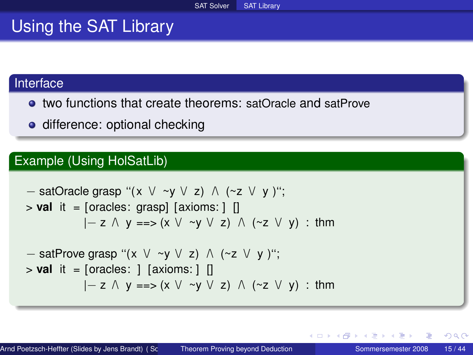### Using the SAT Library

#### Interface

- two functions that create theorems: satOracle and satProve
- **o** difference: optional checking

### Example (Using HolSatLib)

− satOracle grasp ''( x \/ ~y \/ z) /\ (~z \/ y )''; > **val** it = [oracles: grasp] [axioms: ] [] |− z /\ y ==> (x \/ ~y \/ z) /\ (~z \/ y) : thm − satProve grasp ''(x \/ ~y \/ z) /\ (~z \/ y )''; > **val** it = [oracles: ] [axioms: ] [] |− z /\ y ==> (x \/ ~y \/ z) /\ (~z \/ y) : thm

∢ ロ ▶ ∢ 御 ▶ ∢ 重 ▶ ∢ 重 ▶

 $QQ$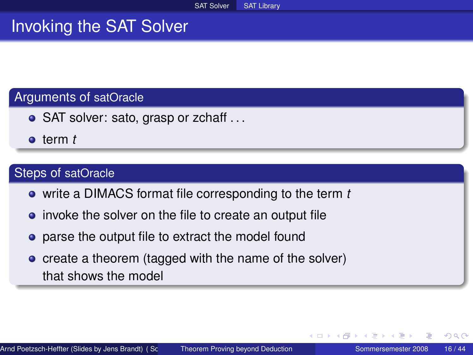### Invoking the SAT Solver

#### Arguments of satOracle

- SAT solver: sato, grasp or zchaff ...
- term *t*

### Steps of satOracle

- write a DIMACS format file corresponding to the term *t*
- invoke the solver on the file to create an output file
- **•** parse the output file to extract the model found
- create a theorem (tagged with the name of the solver) that shows the model

つくへ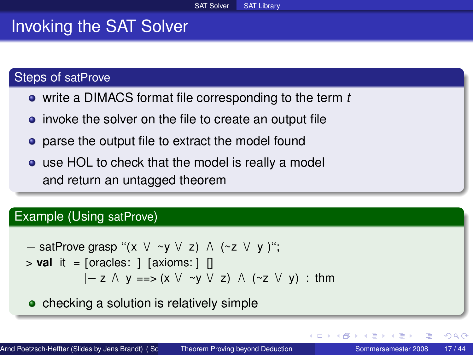### Invoking the SAT Solver

#### Steps of satProve

- write a DIMACS format file corresponding to the term *t*
- invoke the solver on the file to create an output file
- **•** parse the output file to extract the model found
- use HOL to check that the model is really a model and return an untagged theorem

#### Example (Using satProve)

$$
- satProve grasp " (x \lor \sim y \lor z) \land (\sim z \lor y) ";
$$
  
> val it = [oracles: ] [axioms: ] []  

$$
|- z \land y == > (x \lor \sim y \lor z) \land (\sim z \lor y) : thm
$$

• checking a solution is relatively simple

つへへ

∢ □ ▶ ∢ *□*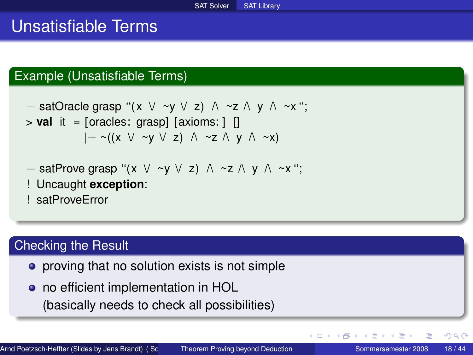### Unsatisfiable Terms

### Example (Unsatisfiable Terms)

- satOracle grasp "
$$
(x \lor \neg y \lor z) \land \neg z \land y \land \neg x";
$$
  
> **val** it = [oracles: grasp] [axioms: ] []  
 $|-\neg((x \lor \neg y \lor z) \land \neg z \land y \land \neg x)$ 

$$
- satProve grasp " (x \lor \neg y \lor z) \land \neg z \land y \land \neg x";
$$

! Uncaught **exception**:

! satProveError

#### Checking the Result

- **•** proving that no solution exists is not simple
- no efficient implementation in HOL (basically needs to check all possibilities)

 $\sim$ 

 $2Q$ 

**K ロ ▶ K 伊 ▶ K 舌**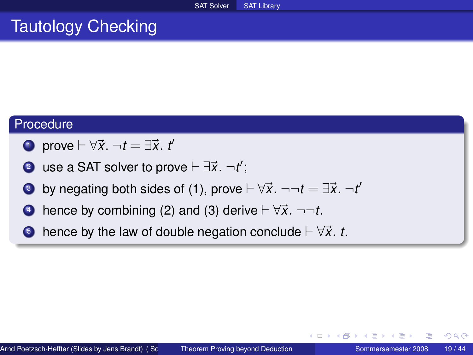# Tautology Checking

#### Procedure

- **1** prove  $\vdash \forall \vec{x}$ .  $\neg t = \exists \vec{x}$ . *t*
- **2** use a SAT solver to prove  $\vdash \exists \vec{x}$ .  $\neg t'$ ;
- 3 by negating both sides of (1), prove  $\vdash \forall \vec{x}$ .  $\neg\neg t = \exists \vec{x}$ .  $\neg t'$
- 4 hence by combining (2) and (3) derive  $\vdash \forall \vec{x}$ .  $\neg\neg t$ .
- $\bullet$  hence by the law of double negation conclude  $\vdash \forall \vec{x}$ . *t*.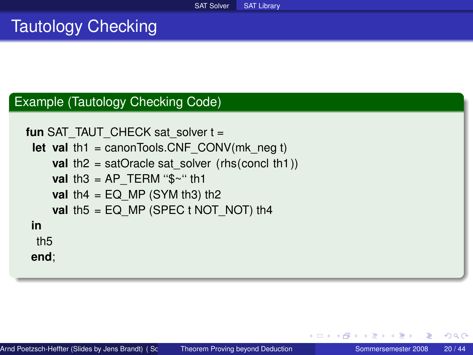# Tautology Checking

#### Example (Tautology Checking Code)

```
fun SAT_TAUT_CHECK sat_solver t =
 let val th1 = canonTools.CNF_CONV(mk_neg t)
    val th2 = satOracle sat_solver (rhs(concl th1))
    val th3 = AP TERM "$~" th1
    val th4 = EQ MP (SYM th3) th2
    val th5 = EQ_MP (SPEC t NOT_NOT) th4
in
 th5
end;
```
イロト イ母 トイヨ トイヨト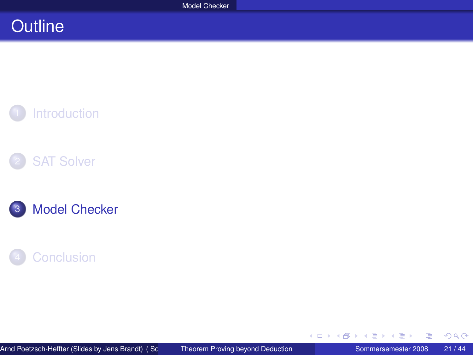## **Outline**









≣

<span id="page-20-0"></span> $299$ 

イロト (個) (注) (注)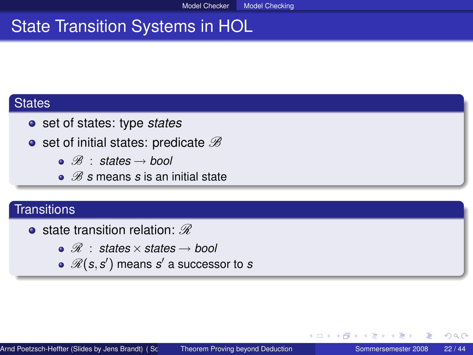# State Transition Systems in HOL

#### **States**

- set of states: type *states*
- set of initial states: predicate  $\mathscr B$ 
	- B : *states* → *bool*
	- $\mathscr{B}$  *s* means *s* is an initial state

#### **Transitions**

- **•** state transition relation:  $\mathscr{R}$ 
	- R : *states* ×*states* → *bool*
	- $\mathscr{R}(\bm{s}, \bm{s}')$  means  $\bm{s}'$  a successor to  $\bm{s}$

つくへ

∢ □ ▶ ∢ 何 ▶ ∢ ∃ ▶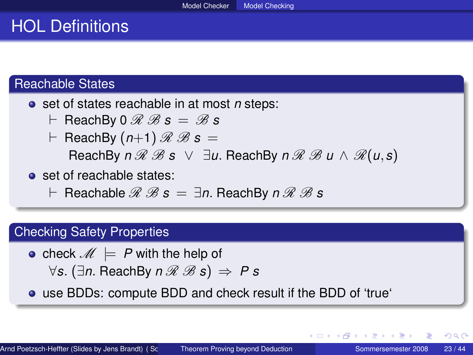### HOL Definitions

#### Reachable States

- **o** set of states reachable in at most *n* steps:
	- $\vdash$  ReachBy 0  $\mathscr{R}$   $\mathscr{B}$  s  $=\mathscr{B}$  s
	- $\vdash$  ReachBy  $(n+1) \mathcal{R} \mathcal{B} s =$  $\text{ReachBy } n \mathcal{R} \mathcal{B} \text{ s } \vee \exists u. \text{ReachBy } n \mathcal{R} \mathcal{B} u \wedge \mathcal{R}(u,s)$
- **o** set of reachable states:
	- $\vdash$  Reachable  $\mathscr{R}$   $\mathscr{B}$  *s*  $=$  ∃*n*. ReachBy *n*  $\mathscr{R}$   $\mathscr{B}$  *s*

### Checking Safety Properties

• check  $M \models P$  with the help of ∀*s*. (∃*n*. ReachBy *n* R B *s*) ⇒ *P s*

use BDDs: compute BDD and check result if the BDD of 'true'

∢ ロ ▶ ( 伊 ) 《 ヨ ) 〈 ヨ ) │ ヨ

 $QQ$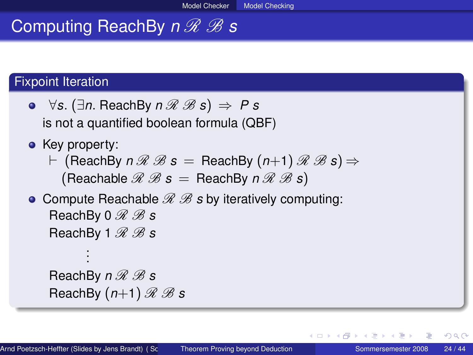# **Computing ReachBy**  $n\mathcal{R}$  *B* **s**

### Fixpoint Iteration

- **•**  $\forall$ *s*. (∃*n*. ReachBy  $n \mathcal{R} \mathcal{B}$ *s*)  $\Rightarrow$  P *s* is not a quantified boolean formula (QBF)
- Key property:
	- $\vdash$  (ReachBy  $n \mathcal{R} \mathcal{B} s =$  ReachBy  $(n+1) \mathcal{R} \mathcal{B} s$ )  $\Rightarrow$  $($ Reachable  $\mathcal{R}$   $\mathcal{B}$  s  $=$  ReachBy  $n \mathcal{R}$   $\mathcal{B}$  s)
- Compute Reachable  $\mathscr{R} \mathscr{B}$  *s* by iteratively computing: ReachBv 0  $\mathscr{R}$  *B* s ReachBy 1  $\mathscr{R}$   $\mathscr{B}$  s .

ReachBy  $n \mathcal{R} \mathcal{B}$  s ReachBy  $(n+1) \mathcal{R} \mathcal{B}$  s

. .

イロト イ母 トイヨ トイヨト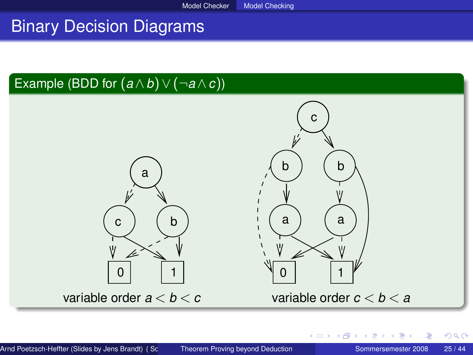### Binary Decision Diagrams

### Example (BDD for  $(a \wedge \overline{b}) \vee (\neg a \wedge \overline{c})$ )



∢ □ ▶ ∢ *□* 

 $\mathbf{F} = \mathbf{d}$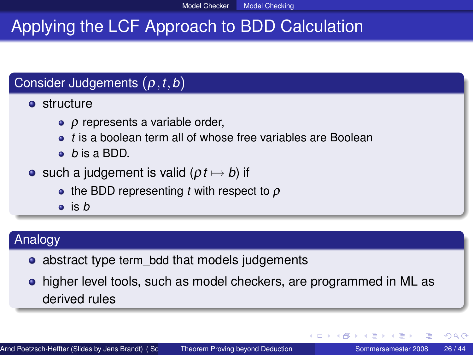# Applying the LCF Approach to BDD Calculation

### Consider Judgements (ρ,*t*,*b*)

**•** structure

- $\rho$  represents a variable order,
- *t* is a boolean term all of whose free variables are Boolean
- *b* is a BDD.
- such a judgement is valid  $(pt \mapsto b)$  if
	- $\bullet$  the BDD representing *t* with respect to  $\rho$
	- is *b*

### Analogy

- abstract type term bdd that models judgements
- higher level tools, such as model checkers, are programmed in ML as derived rules

 $2Q$ 

イロト イ押ト イヨト イヨトー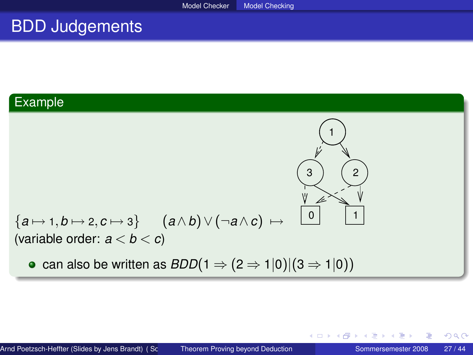### BDD Judgements

### **Example**

$$
\begin{array}{ccc}\n\begin{array}{ccc}\n\downarrow & \\
\downarrow & \\
\downarrow & \\
\hline\n\end{array}\n\end{array}
$$
\n
$$
\begin{array}{ccc}\n\downarrow & \\
\downarrow & \\
\downarrow & \\
\downarrow & \\
\hline\n\end{array}
$$
\n
$$
\begin{array}{ccc}\n\downarrow & \\
\downarrow & \\
\downarrow & \\
\hline\n\end{array}
$$
\n
$$
\begin{array}{ccc}\n\downarrow & \\
\downarrow & \\
\downarrow & \\
\hline\n\end{array}
$$
\n
$$
\begin{array}{ccc}\n\downarrow & \\
\downarrow & \\
\downarrow & \\
\hline\n\end{array}
$$
\n
$$
\begin{array}{ccc}\n\downarrow & \\
\downarrow & \\
\downarrow & \\
\hline\n\end{array}
$$
\n
$$
\begin{array}{ccc}\n\downarrow & \\
\downarrow & \\
\downarrow & \\
\hline\n\end{array}
$$
\n
$$
\begin{array}{ccc}\n\downarrow & \\
\downarrow & \\
\downarrow & \\
\hline\n\end{array}
$$
\n
$$
\begin{array}{ccc}\n\downarrow & \\
\downarrow & \\
\downarrow & \\
\hline\n\end{array}
$$
\n
$$
\begin{array}{ccc}\n\downarrow & \\
\downarrow & \\
\downarrow & \\
\hline\n\end{array}
$$
\n
$$
\begin{array}{ccc}\n\downarrow & \\
\downarrow & \\
\downarrow & \\
\hline\n\end{array}
$$
\n
$$
\begin{array}{ccc}\n\downarrow & \\
\downarrow & \\
\downarrow & \\
\hline\n\end{array}
$$
\n
$$
\begin{array}{ccc}\n\downarrow & \\
\downarrow & \\
\downarrow & \\
\hline\n\end{array}
$$
\n
$$
\begin{array}{ccc}\n\downarrow & \\
\downarrow & \\
\downarrow & \\
\hline\n\end{array}
$$
\n
$$
\begin{array}{ccc}\n\downarrow & \\
\downarrow & \\
\downarrow & \\
\downarrow & \\
\hline\n\end{array}
$$

E

 $2Q$ 

一 三

**K ロ ▶ K 伊 ▶ K ヨ ▶**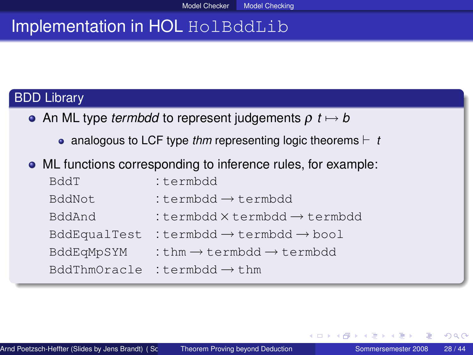# Implementation in HOL HolBddLib

### BDD Library

- An ML type *termbdd* to represent judgements  $\rho$  *t*  $\mapsto$  *b* 
	- analogous to LCF type *thm* representing logic theorems  $\vdash$  *t*
- ML functions corresponding to inference rules, for example:

| BddT         | :termbdd                                          |
|--------------|---------------------------------------------------|
| BddNot       | :termbdd $\rightarrow$ termbdd                    |
| BddAnd       | :termbdd $\times$ termbdd $\rightarrow$ termbdd   |
| BddEqualTest | :termbdd $\rightarrow$ termbdd $\rightarrow$ bool |
| BddEqMpSYM   | :thm $\rightarrow$ termbdd $\rightarrow$ termbdd  |
| BddThmOracle | :termbdd $\rightarrow$ thm                        |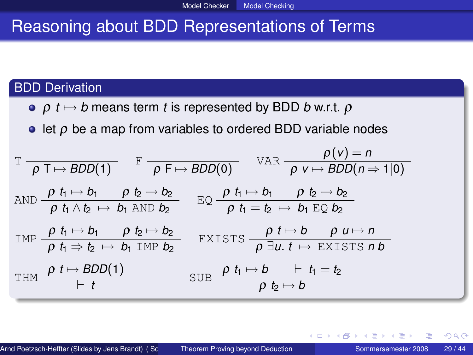# Reasoning about BDD Representations of Terms

#### BDD Derivation

- **e**  $\rho$  *t*  $\mapsto$  *b* means term *t* is represented by BDD *b* w.r.t.  $\rho$
- $\bullet$  let  $\rho$  be a map from variables to ordered BDD variable nodes

T ρ T 7→ *BDD*(1) F ρ F 7→ *BDD*(0) VAR ρ(*v*) = *n* ρ *v* 7→ *BDD*(*n* ⇒ 1|0) AND ρ *t*<sup>1</sup> 7→ *b*<sup>1</sup> ρ *t*<sup>2</sup> 7→ *b*<sup>2</sup> ρ *t*<sup>1</sup> ∧*t*<sup>2</sup> 7→ *b*<sup>1</sup> AND *b*<sup>2</sup> EQ ρ *t*<sup>1</sup> 7→ *b*<sup>1</sup> ρ *t*<sup>2</sup> 7→ *b*<sup>2</sup> ρ *t*<sup>1</sup> = *t*<sup>2</sup> 7→ *b*<sup>1</sup> EQ *b*<sup>2</sup> IMP ρ *t*<sup>1</sup> 7→ *b*<sup>1</sup> ρ *t*<sup>2</sup> 7→ *b*<sup>2</sup> ρ *t*<sup>1</sup> ⇒ *t*<sup>2</sup> 7→ *b*<sup>1</sup> IMP *b*<sup>2</sup> EXISTS ρ *t* 7→ *b* ρ *u* 7→ *n* ρ ∃*u*. *t* 7→ EXISTS *n b* THM ρ *t* 7→ *BDD*(1) ` *t* SUB ρ *t*<sup>1</sup> 7→ *b* ` *t*<sup>1</sup> = *t*<sup>2</sup> ρ *t*<sup>2</sup> 7→ *b*

つへへ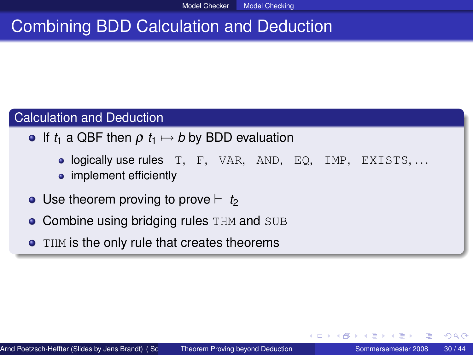# Combining BDD Calculation and Deduction

### Calculation and Deduction

- **•** If  $t_1$  a QBF then  $\rho$   $t_1 \mapsto b$  by BDD evaluation
	- logically use rules T, F, VAR, AND, EQ, IMP, EXISTS, ...
	- implement efficiently
- $\bullet$  Use theorem proving to prove  $\vdash$  *t<sub>2</sub>*
- **Combine using bridging rules THM and SUB**
- **THM is the only rule that creates theorems**

つくい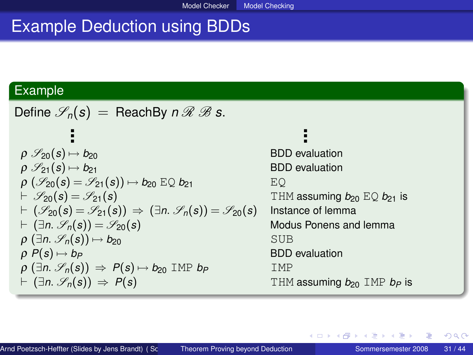# Example Deduction using BDDs

#### Example

Define  $\mathscr{S}_n(s)$  = ReachBy *n*  $\Re \mathscr{B} s$ . ...  $\rho \mathcal{S}_{20}(s) \mapsto b_{20}$  BDD evaluation  $\rho \mathcal{S}_{21}(s) \mapsto b_{21}$  BDD evaluation  $\rho$  ( $\mathscr{S}_{20}(s) = \mathscr{S}_{21}(s) \rightarrow b_{20} \to 0_{21}$  EQ<br>  $\vdash \mathscr{S}_{20}(s) = \mathscr{S}_{21}(s)$  TH THM assuming  $b_{20}$  EQ  $b_{21}$  is  $\vdash (\mathscr{S}_{20}(s) = \mathscr{S}_{21}(s)) \Rightarrow (\exists n. \mathscr{S}_{n}(s)) = \mathscr{S}_{20}(s)$  Instance of lemma  $\vdash$  ( $\exists n$ .  $\mathscr{S}_n(s)$ ) =  $\mathscr{S}_{20}(s)$  Modus Ponens and lemma  $\rho$  ( $\exists n$ ,  $\mathscr{S}_n(s)$ )  $\mapsto$  *b*<sub>20</sub> SUB  $\rho P(s) \mapsto b_P$  **BDD** evaluation  $\rho$  ( $\exists n$ ,  $\mathscr{S}_p(s)$ )  $\Rightarrow$   $P(s) \mapsto b_{20}$  IMP  $b_p$  IMP  $\vdash$  ( $\exists n$ .  $\mathscr{S}_n(s)$ )  $\Rightarrow$  *P*(*s*) The state THM assuming *b*<sub>20</sub> IMP *b<sub>P</sub>* is

Arnd Poetzsch-Heffter (Slides by Jens Brandt) ( Sc State Theorem Proving beyond Deduction Sommersemester 2008 31 / 44

∢ ロ ▶ ( 伊 ) 《 ヨ ) 〈 ヨ ) │ ヨ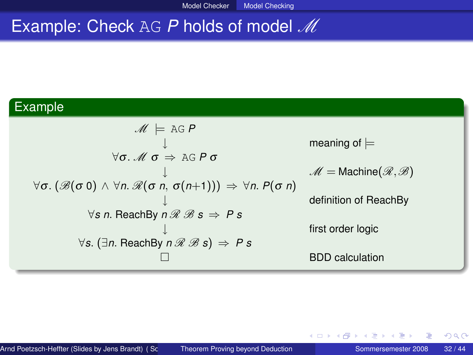# Example: Check AG P holds of model M

### Example

$$
\mathcal{M} \models \text{AG } P
$$
\n
$$
\forall \sigma. \mathcal{M} \sigma \Rightarrow \text{AG } P \sigma
$$
\n
$$
\forall \sigma. (\mathcal{B}(\sigma 0) \land \forall n. \mathcal{R}(\sigma n, \sigma(n+1))) \Rightarrow \forall n. P(\sigma n)
$$
\n
$$
\forall s \text{ n.} \text{ReachBy } n \mathcal{R} \mathcal{B} s \Rightarrow P s
$$
\n
$$
\forall s. (\exists n. \text{ReachBy } n \mathcal{R} \mathcal{B} s) \Rightarrow P s
$$
\n
$$
\Box
$$
\n
$$
\Box
$$
\n
$$
\Box
$$
\n
$$
\Box
$$
\n
$$
\Box
$$
\n
$$
\Box
$$
\n
$$
\Box
$$
\n
$$
\Box
$$
\n
$$
\Box
$$
\n
$$
\Box
$$
\n
$$
\Box
$$

4 0 8  $\mathcal{A}$ 同 医尿道尿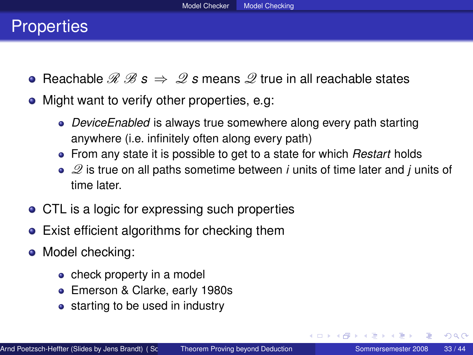### **Properties**

- Reachable  $\mathscr{R} \mathscr{B} s \Rightarrow \mathscr{Q} s$  means  $\mathscr{Q}$  true in all reachable states
- Might want to verify other properties, e.g.
	- *DeviceEnabled* is always true somewhere along every path starting anywhere (i.e. infinitely often along every path)
	- From any state it is possible to get to a state for which *Restart* holds
	- Q is true on all paths sometime between *i* units of time later and *j* units of time later.
- CTL is a logic for expressing such properties
- Exist efficient algorithms for checking them
- Model checking:
	- check property in a model
	- Emerson & Clarke, early 1980s
	- starting to be used in industry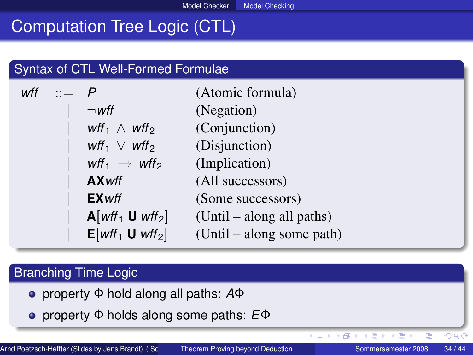## Computation Tree Logic (CTL)

#### Syntax of CTL Well-Formed Formulae

| wff $:= P$ |                                                 | (Atomic formula)          |
|------------|-------------------------------------------------|---------------------------|
|            | $\neg$ wff                                      | (Negation)                |
|            | wff <sub>1</sub> $\wedge$ wff <sub>2</sub>      | (Conjunction)             |
|            | wff <sub>1</sub> $\vee$ wff <sub>2</sub>        | (Disjunction)             |
|            | wff <sub>1</sub> $\rightarrow$ wff <sub>2</sub> | (Implication)             |
|            | <b>AX</b> wff                                   | (All successors)          |
|            | <b>EX</b> wff                                   | (Some successors)         |
|            | $\mathbf{A}[wff_1 \mathbf{U} wff_2]$            | (Until – along all paths) |
|            | $E[wtf_1 \mathbf{U} wtf_2]$                     | (Until – along some path) |

### Branching Time Logic

- property Φ hold along all paths: *A*Φ
- property Φ holds along some paths: *E*Φ

 $290$ 

イロト (個) イヨンイ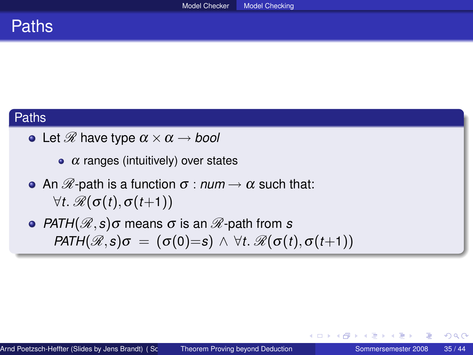

#### Paths

- Let  $\mathscr R$  have type  $\alpha \times \alpha \rightarrow \textit{bool}$ 
	- $\alpha$  ranges (intuitively) over states
- **•** An  $\mathscr{R}$ -path is a function  $\sigma$  :  $num \rightarrow \alpha$  such that:  $\forall t$ .  $\mathscr{R}(\sigma(t), \sigma(t+1))$
- **•** *PATH*( $\mathcal{R}, s$ ) $\sigma$  means  $\sigma$  is an  $\mathcal{R}$ -path from *s PATH*( $\mathcal{R}, s$ ) $\sigma = (\sigma(0)=s) \land \forall t$ .  $\mathcal{R}(\sigma(t), \sigma(t+1))$

イロト イ母 トイヨ トイヨト

 $QQ$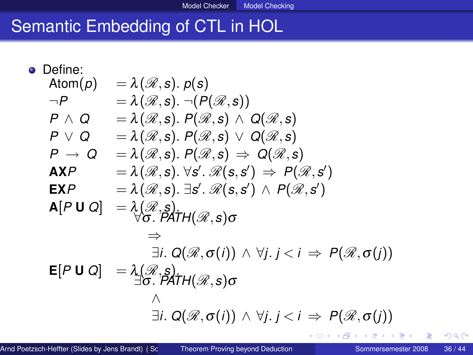# Semantic Embedding of CTL in HOL

• Define:  
\n
$$
Action(p) = \lambda(\mathcal{R}, s) \cdot p(s)
$$
\n
$$
\neg P = \lambda(\mathcal{R}, s) \cdot \neg(P(\mathcal{R}, s))
$$
\n
$$
P \land Q = \lambda(\mathcal{R}, s) \cdot P(\mathcal{R}, s) \land Q(\mathcal{R}, s)
$$
\n
$$
P \lor Q = \lambda(\mathcal{R}, s) \cdot P(\mathcal{R}, s) \lor Q(\mathcal{R}, s)
$$
\n
$$
P \rightarrow Q = \lambda(\mathcal{R}, s) \cdot P(\mathcal{R}, s) \Rightarrow Q(\mathcal{R}, s)
$$
\n
$$
AXP = \lambda(\mathcal{R}, s) \cdot \forall s' \cdot \mathcal{R}(s, s') \Rightarrow P(\mathcal{R}, s')
$$
\n
$$
EXP = \lambda(\mathcal{R}, s) \cdot \exists s' \cdot \mathcal{R}(s, s') \land P(\mathcal{R}, s')
$$
\n
$$
A[P \cup Q] = \lambda(\mathcal{R}, s)
$$
\n
$$
\Rightarrow \exists i. Q(\mathcal{R}, \sigma(i)) \land \forall j. j < i \Rightarrow P(\mathcal{R}, \sigma(j))
$$
\n
$$
\Rightarrow \exists i. Q(\mathcal{R}, \sigma(i)) \land \forall j. j < i \Rightarrow P(\mathcal{R}, \sigma(j))
$$
\n
$$
\Rightarrow \exists i. Q(\mathcal{R}, \sigma(i)) \land \forall j. j < i \Rightarrow P(\mathcal{R}, \sigma(j))
$$
\n
$$
\Rightarrow \exists i. Q(\mathcal{R}, \sigma(i)) \land \forall j. j < i \Rightarrow P(\mathcal{R}, \sigma(j))
$$

4 0 8 4 有  $\mathbf{F} = \mathbf{A}$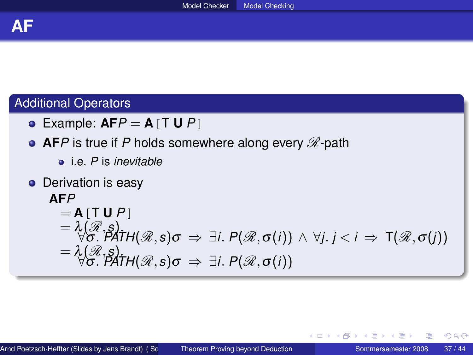### Additional Operators

Example: **AF***P* = **A**[T **U** *P*]

### **• AF***P* is true if *P* holds somewhere along every  $\mathscr{R}$ -path

- i.e. *P* is *inevitable*
- **o** Derivation is easy

# **AF***P*  $=$  **A** $[T$  **U**  $P$ <sup>1</sup> = λ(R,*s*). ∀σ. *PATH*(R,*s*)σ ⇒ ∃*i*. *P*(R,σ(*i*)) ∧ ∀*j*. *j* < *i* ⇒ T(R,σ(*j*)) = λ(R,*s*). ∀σ. *PATH*(R,*s*)σ ⇒ ∃*i*. *P*(R,σ(*i*))

∢ ロ ▶ ∢ 御 ▶ ∢ 唐 ▶ ∢ 唐 ▶ │ 唐

 $QQ$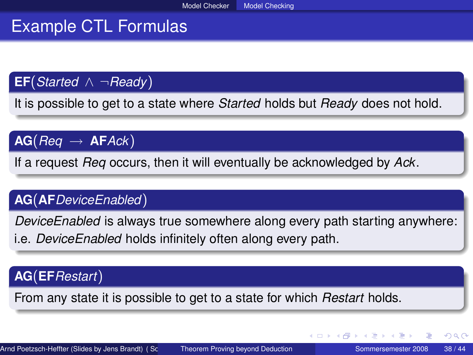# Example CTL Formulas

**EF**(*Started* ∧ ¬*Ready*)

It is possible to get to a state where *Started* holds but *Ready* does not hold.

 $AG(Reg \rightarrow AFack)$ 

If a request *Req* occurs, then it will eventually be acknowledged by *Ack*.

### **AG**(**AF***DeviceEnabled*)

*DeviceEnabled* is always true somewhere along every path starting anywhere: i.e. *DeviceEnabled* holds infinitely often along every path.

### **AG**(**EF***Restart*)

From any state it is possible to get to a state for which *Restart* holds.

 $2Q$ 

イロト イ部 トイモ トイモト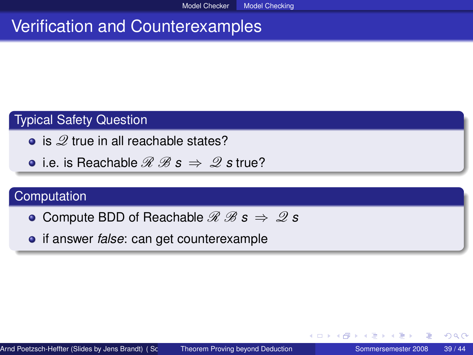# Verification and Counterexamples

### Typical Safety Question

- $\bullet$  is  $\mathscr{Q}$  true in all reachable states?
- **•** i.e. is Reachable  $\mathcal{R} \mathcal{B} s \Rightarrow \mathcal{Q} s$  true?

### **Computation**

- **○** Compute BDD of Reachable  $\mathcal{R} \mathcal{B}$  **s**  $\Rightarrow \mathcal{Q}$  **s**
- **•** if answer *false*: can get counterexample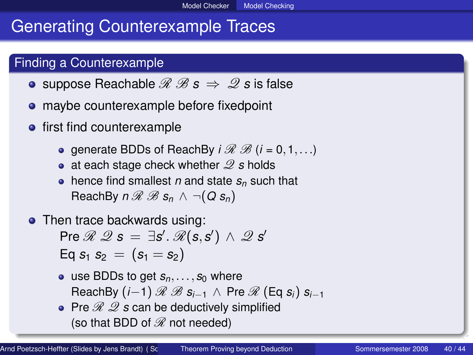# Generating Counterexample Traces

### Finding a Counterexample

- **•** suppose Reachable  $\mathcal{R} \mathcal{B} s \Rightarrow \mathcal{Q} s$  is false
- maybe counterexample before fixedpoint
- **•** first find counterexample
	- **e** generate BDDs of ReachBy  $i \mathcal{R} \mathcal{B}$  ( $i = 0, 1, \ldots$ )
	- at each stage check whether  $\mathscr Q$  *s* holds
	- $\bullet$  hence find smallest *n* and state  $s_n$  such that ReachBy  $n \mathcal{R} \mathcal{B} s_n \wedge \neg(Q s_n)$
- Then trace backwards using:

 $\mathsf{Pre}\, \mathscr{R}\, \mathscr{Q}\, \boldsymbol{s}\,=\, \exists \boldsymbol{s}'\allowbreak .\allowbreak\, \mathscr{R}(\boldsymbol{s},\boldsymbol{s}')\,\wedge\,\mathscr{Q}\, \boldsymbol{s}'$  $Eq s_1 s_2 = (s_1 = s_2)$ 

- $\bullet$  use BDDs to get  $s_n, \ldots, s_0$  where  $RechBy (i-1) \mathcal{R} \mathcal{B} s_{i-1} \wedge Pre \mathcal{R} (Eq s_i) s_{i-1}$
- Pre  $\mathscr{R}$   $\mathscr{Q}$  *s* can be deductively simplified (so that BDD of  $\mathcal R$  not needed)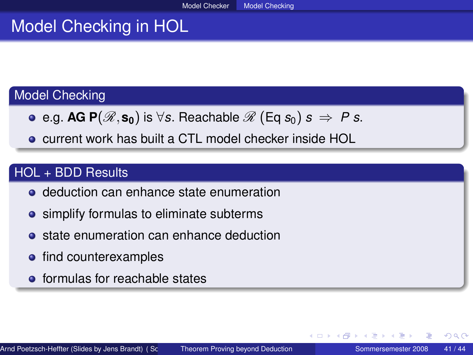# Model Checking in HOL

### Model Checking

- **•** e.g. AG P( $\mathcal{R}, s_0$ ) is ∀*s*. Reachable  $\mathcal{R}$  (Eq  $s_0$ ) *s*  $\Rightarrow$  *P s.*
- current work has built a CTL model checker inside HOL

### HOL + BDD Results

- **o** deduction can enhance state enumeration
- **•** simplify formulas to eliminate subterms
- **•** state enumeration can enhance deduction
- find counterexamples
- **o** formulas for reachable states

つくへ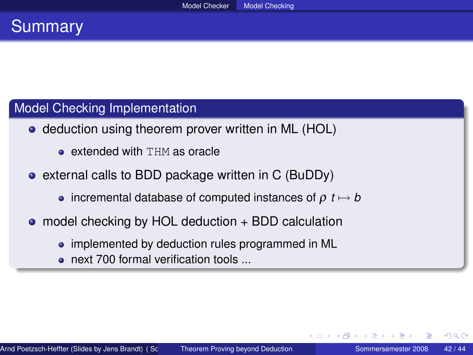### **Summary**

### Model Checking Implementation

- deduction using theorem prover written in ML (HOL)
	- **e** extended with THM as oracle
- external calls to BDD package written in C (BuDDy)
	- incremental database of computed instances of  $\rho$  *t*  $\mapsto$  *b*
- model checking by HOL deduction + BDD calculation
	- implemented by deduction rules programmed in ML
	- next 700 formal verification tools ...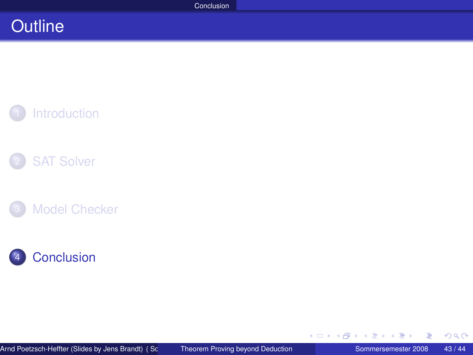### **Outline**









≣

<span id="page-42-0"></span> $299$ 

イロト (個) (注) (注)